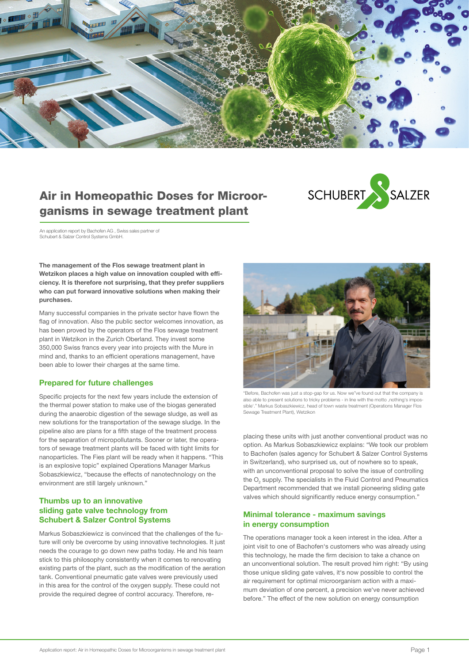

# Air in Homeopathic Doses for Microorganisms in sewage treatment plant



An application report by Bachofen AG , Swiss sales partner of Schubert & Salzer Control Systems GmbH.

The management of the Flos sewage treatment plant in Wetzikon places a high value on innovation coupled with efficiency. It is therefore not surprising, that they prefer suppliers who can put forward innovative solutions when making their purchases.

Many successful companies in the private sector have flown the flag of innovation. Also the public sector welcomes innovation, as has been proved by the operators of the Flos sewage treatment plant in Wetzikon in the Zurich Oberland. They invest some 350,000 Swiss francs every year into projects with the Mure in mind and, thanks to an efficient operations management, have been able to lower their charges at the same time.

## Prepared for future challenges

Specific projects for the next few years include the extension of the thermal power station to make use of the biogas generated during the anaerobic digestion of the sewage sludge, as well as new solutions for the transportation of the sewage sludge. In the pipeline also are plans for a fifth stage of the treatment process for the separation of micropollutants. Sooner or later, the operators of sewage treatment plants will be faced with tight limits for nanoparticles. The Fies plant will be ready when it happens. "This is an explosive topic" explained Operations Manager Markus Sobaszkiewicz, "because the effects of nanotechnology on the environment are still largely unknown."

## Thumbs up to an innovative sliding gate valve technology from Schubert & Salzer Control Systems

Markus Sobaszkiewicz is convinced that the challenges of the future will only be overcome by using innovative technologies. It just needs the courage to go down new paths today. He and his team stick to this philosophy consistently when it comes to renovating existing parts of the plant, such as the modification of the aeration tank. Conventional pneumatic gate valves were previously used in this area for the control of the oxygen supply. These could not provide the required degree of control accuracy. Therefore, re-



"Before, Bachofen was just a stop-gap for us. Now we"ve found out that the company is also able to present solutions to tricky problems - in line with the motto ,nothing's impossible'." Markus Sobaszkiewicz, head of town waste treatment (Operations Manager Flos Sewage Treatment Plant), Wetzikon

placing these units with just another conventional product was no option. As Markus Sobaszkiewicz explains: "We took our problem to Bachofen (sales agency for Schubert & Salzer Control Systems in Switzerland), who surprised us, out of nowhere so to speak, with an unconventional proposal to solve the issue of controlling the  $O_2$  supply. The specialists in the Fluid Control and Pneumatics Department recommended that we install pioneering sliding gate valves which should significantly reduce energy consumption."

# Minimal tolerance - maximum savings in energy consumption

The operations manager took a keen interest in the idea. After a joint visit to one of Bachofen's customers who was already using this technology, he made the firm decision to take a chance on an unconventional solution. The result proved him right: "By using those unique sliding gate valves, it's now possible to control the air requirement for optimal microorganism action with a maximum deviation of one percent, a precision we've never achieved before." The effect of the new solution on energy consumption